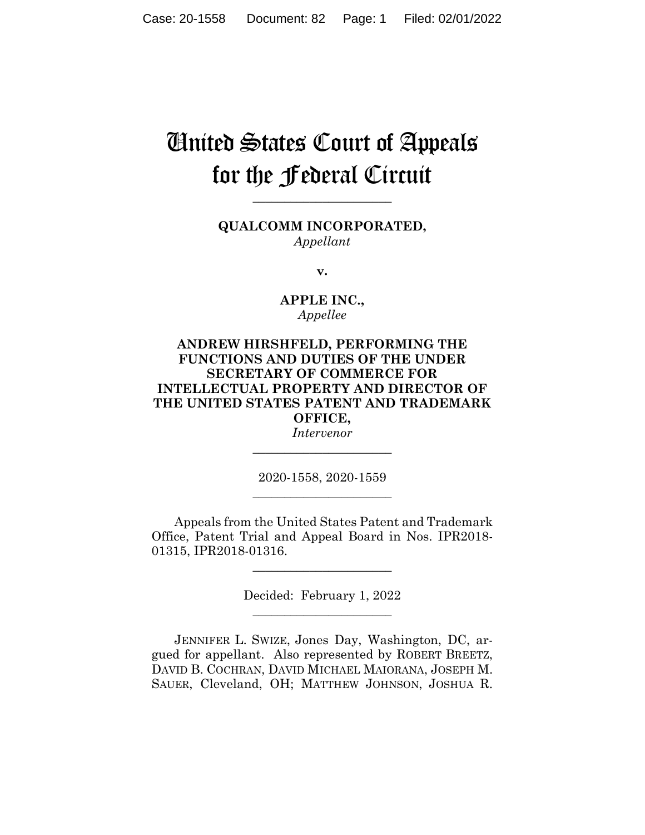# United States Court of Appeals for the Federal Circuit

**QUALCOMM INCORPORATED,** *Appellant*

**\_\_\_\_\_\_\_\_\_\_\_\_\_\_\_\_\_\_\_\_\_\_** 

**v.**

**APPLE INC.,** *Appellee*

# **ANDREW HIRSHFELD, PERFORMING THE FUNCTIONS AND DUTIES OF THE UNDER SECRETARY OF COMMERCE FOR INTELLECTUAL PROPERTY AND DIRECTOR OF THE UNITED STATES PATENT AND TRADEMARK OFFICE,**

*Intervenor* **\_\_\_\_\_\_\_\_\_\_\_\_\_\_\_\_\_\_\_\_\_\_** 

2020-1558, 2020-1559 **\_\_\_\_\_\_\_\_\_\_\_\_\_\_\_\_\_\_\_\_\_\_** 

Appeals from the United States Patent and Trademark Office, Patent Trial and Appeal Board in Nos. IPR2018- 01315, IPR2018-01316.

> Decided: February 1, 2022  $\overline{\phantom{a}}$  , where  $\overline{\phantom{a}}$  , where  $\overline{\phantom{a}}$  , where  $\overline{\phantom{a}}$

 $\overline{\phantom{a}}$  , where  $\overline{\phantom{a}}$  , where  $\overline{\phantom{a}}$  , where  $\overline{\phantom{a}}$ 

JENNIFER L. SWIZE, Jones Day, Washington, DC, argued for appellant. Also represented by ROBERT BREETZ, DAVID B. COCHRAN, DAVID MICHAEL MAIORANA, JOSEPH M. SAUER, Cleveland, OH; MATTHEW JOHNSON, JOSHUA R.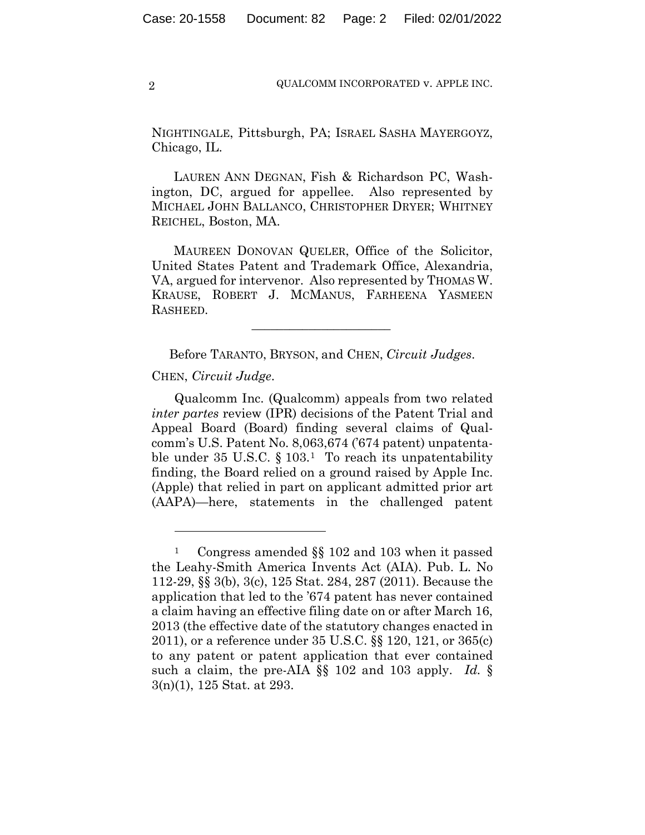NIGHTINGALE, Pittsburgh, PA; ISRAEL SASHA MAYERGOYZ, Chicago, IL.

 LAUREN ANN DEGNAN, Fish & Richardson PC, Washington, DC, argued for appellee. Also represented by MICHAEL JOHN BALLANCO, CHRISTOPHER DRYER; WHITNEY REICHEL, Boston, MA.

 MAUREEN DONOVAN QUELER, Office of the Solicitor, United States Patent and Trademark Office, Alexandria, VA, argued for intervenor. Also represented by THOMAS W. KRAUSE, ROBERT J. MCMANUS, FARHEENA YASMEEN RASHEED.

Before TARANTO, BRYSON, and CHEN, *Circuit Judges*.

 $\mathcal{L}_\text{max}$  and  $\mathcal{L}_\text{max}$  and  $\mathcal{L}_\text{max}$  and  $\mathcal{L}_\text{max}$ 

## CHEN, *Circuit Judge*.

Qualcomm Inc. (Qualcomm) appeals from two related *inter partes* review (IPR) decisions of the Patent Trial and Appeal Board (Board) finding several claims of Qualcomm's U.S. Patent No. 8,063,674 ('674 patent) unpatentable under 35 U.S.C.  $\S 103.1$  To reach its unpatentability finding, the Board relied on a ground raised by Apple Inc. (Apple) that relied in part on applicant admitted prior art (AAPA)—here, statements in the challenged patent

<sup>1</sup> Congress amended §§ 102 and 103 when it passed the Leahy-Smith America Invents Act (AIA). Pub. L. No 112-29, §§ 3(b), 3(c), 125 Stat. 284, 287 (2011). Because the application that led to the '674 patent has never contained a claim having an effective filing date on or after March 16, 2013 (the effective date of the statutory changes enacted in 2011), or a reference under 35 U.S.C. §§ 120, 121, or 365(c) to any patent or patent application that ever contained such a claim, the pre-AIA §§ 102 and 103 apply. *Id.* § 3(n)(1), 125 Stat. at 293.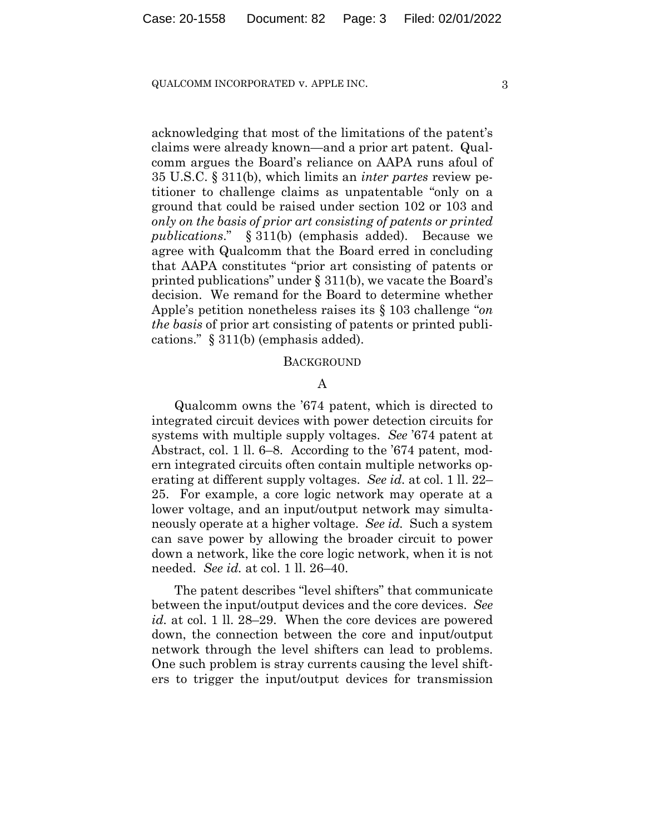acknowledging that most of the limitations of the patent's claims were already known—and a prior art patent. Qualcomm argues the Board's reliance on AAPA runs afoul of 35 U.S.C. § 311(b), which limits an *inter partes* review petitioner to challenge claims as unpatentable "only on a ground that could be raised under section 102 or 103 and *only on the basis of prior art consisting of patents or printed publications*." § 311(b) (emphasis added). Because we agree with Qualcomm that the Board erred in concluding that AAPA constitutes "prior art consisting of patents or printed publications" under § 311(b), we vacate the Board's decision. We remand for the Board to determine whether Apple's petition nonetheless raises its § 103 challenge "*on the basis* of prior art consisting of patents or printed publications." § 311(b) (emphasis added).

#### BACKGROUND

### A

Qualcomm owns the '674 patent, which is directed to integrated circuit devices with power detection circuits for systems with multiple supply voltages. *See* '674 patent at Abstract, col. 1 ll. 6–8. According to the '674 patent, modern integrated circuits often contain multiple networks operating at different supply voltages. *See id.* at col. 1 ll. 22– 25. For example, a core logic network may operate at a lower voltage, and an input/output network may simultaneously operate at a higher voltage. *See id.* Such a system can save power by allowing the broader circuit to power down a network, like the core logic network, when it is not needed. *See id.* at col. 1 ll. 26–40.

The patent describes "level shifters" that communicate between the input/output devices and the core devices. *See id.* at col. 1 ll. 28–29. When the core devices are powered down, the connection between the core and input/output network through the level shifters can lead to problems. One such problem is stray currents causing the level shifters to trigger the input/output devices for transmission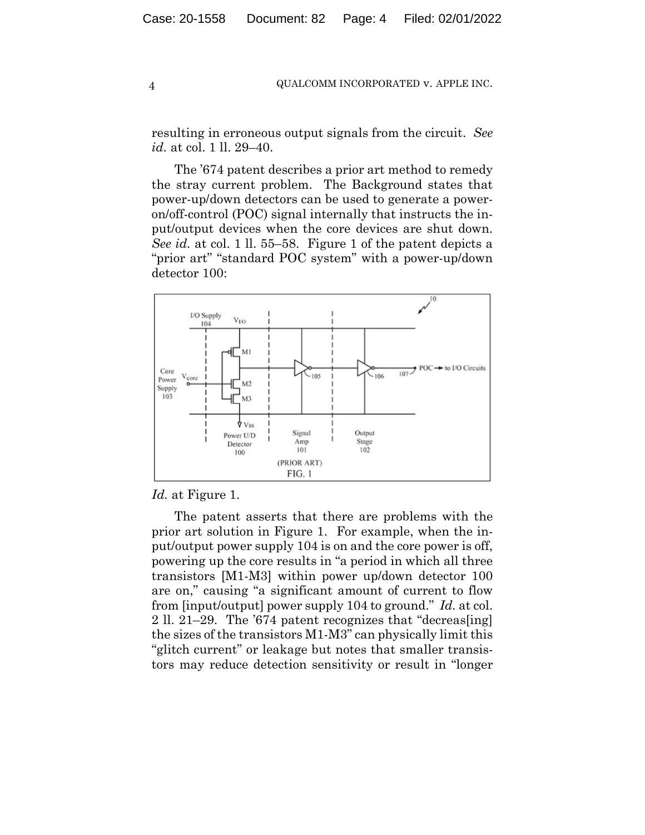resulting in erroneous output signals from the circuit. *See id.* at col. 1 ll. 29–40.

The '674 patent describes a prior art method to remedy the stray current problem. The Background states that power-up/down detectors can be used to generate a poweron/off-control (POC) signal internally that instructs the input/output devices when the core devices are shut down. *See id.* at col. 1 ll. 55–58. Figure 1 of the patent depicts a "prior art" "standard POC system" with a power-up/down detector 100:



# *Id.* at Figure 1.

The patent asserts that there are problems with the prior art solution in Figure 1. For example, when the input/output power supply 104 is on and the core power is off, powering up the core results in "a period in which all three transistors [M1-M3] within power up/down detector 100 are on," causing "a significant amount of current to flow from [input/output] power supply 104 to ground." *Id.* at col. 2 ll. 21–29. The '674 patent recognizes that "decreas[ing] the sizes of the transistors M1-M3" can physically limit this "glitch current" or leakage but notes that smaller transistors may reduce detection sensitivity or result in "longer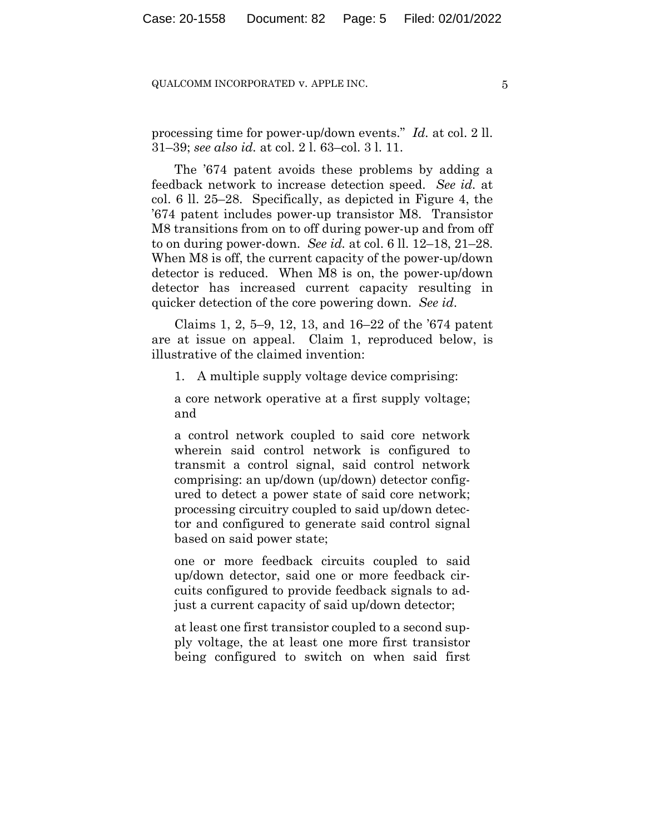processing time for power-up/down events." *Id.* at col. 2 ll. 31–39; *see also id.* at col. 2 l. 63–col. 3 l. 11.

The '674 patent avoids these problems by adding a feedback network to increase detection speed. *See id.* at col. 6 ll. 25–28. Specifically, as depicted in Figure 4, the '674 patent includes power-up transistor M8. Transistor M8 transitions from on to off during power-up and from off to on during power-down. *See id.* at col. 6 ll. 12–18, 21–28. When M8 is off, the current capacity of the power-up/down detector is reduced. When M8 is on, the power-up/down detector has increased current capacity resulting in quicker detection of the core powering down. *See id*.

Claims 1, 2, 5–9, 12, 13, and 16–22 of the '674 patent are at issue on appeal. Claim 1, reproduced below, is illustrative of the claimed invention:

1. A multiple supply voltage device comprising:

a core network operative at a first supply voltage; and

a control network coupled to said core network wherein said control network is configured to transmit a control signal, said control network comprising: an up/down (up/down) detector configured to detect a power state of said core network; processing circuitry coupled to said up/down detector and configured to generate said control signal based on said power state;

one or more feedback circuits coupled to said up/down detector, said one or more feedback circuits configured to provide feedback signals to adjust a current capacity of said up/down detector;

at least one first transistor coupled to a second supply voltage, the at least one more first transistor being configured to switch on when said first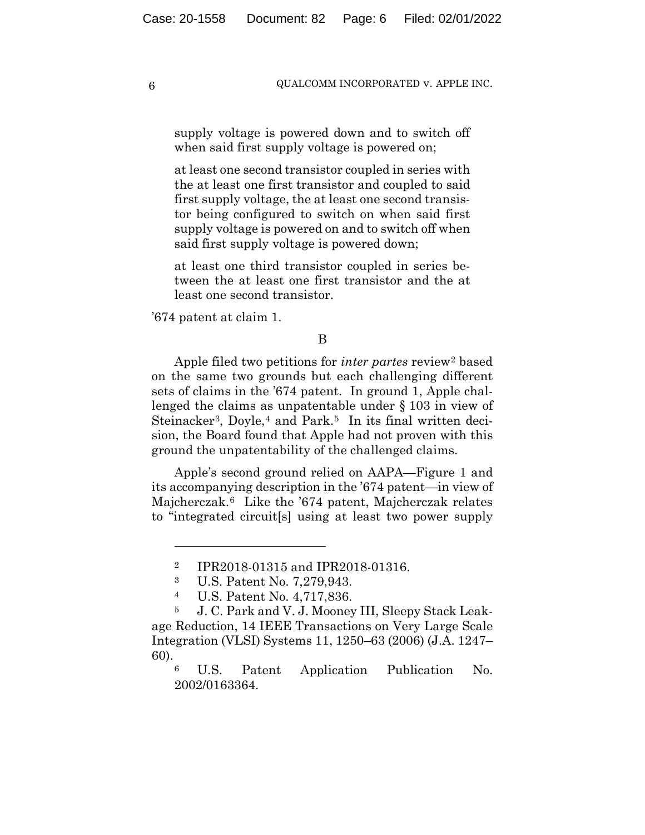supply voltage is powered down and to switch off when said first supply voltage is powered on;

at least one second transistor coupled in series with the at least one first transistor and coupled to said first supply voltage, the at least one second transistor being configured to switch on when said first supply voltage is powered on and to switch off when said first supply voltage is powered down;

at least one third transistor coupled in series between the at least one first transistor and the at least one second transistor.

'674 patent at claim 1.

# B

Apple filed two petitions for *inter partes* review2 based on the same two grounds but each challenging different sets of claims in the '674 patent. In ground 1, Apple challenged the claims as unpatentable under § 103 in view of Steinacker<sup>3</sup>, Doyle,<sup>4</sup> and Park.<sup>5</sup> In its final written decision, the Board found that Apple had not proven with this ground the unpatentability of the challenged claims.

Apple's second ground relied on AAPA—Figure 1 and its accompanying description in the '674 patent—in view of Majcherczak.6 Like the '674 patent, Majcherczak relates to "integrated circuit[s] using at least two power supply

<sup>&</sup>lt;sup>2</sup> IPR2018-01315 and IPR2018-01316.<br><sup>3</sup> U.S. Patent No. 7,279,943.

<sup>4</sup> U.S. Patent No. 4,717,836.

<sup>5</sup> J. C. Park and V. J. Mooney III, Sleepy Stack Leakage Reduction, 14 IEEE Transactions on Very Large Scale Integration (VLSI) Systems 11, 1250–63 (2006) (J.A. 1247– 60).

<sup>6</sup> U.S. Patent Application Publication No. 2002/0163364.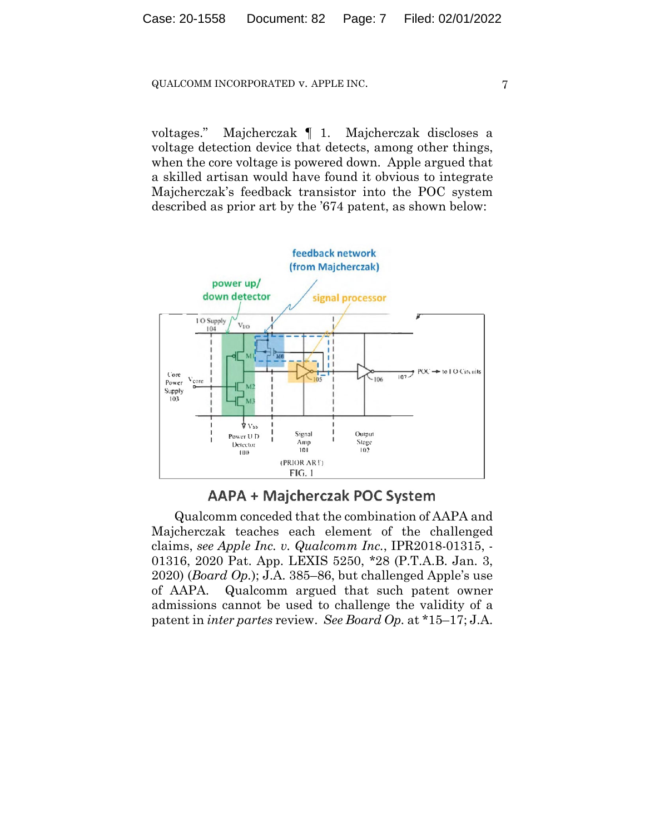voltages." Majcherczak ¶ 1. Majcherczak discloses a voltage detection device that detects, among other things, when the core voltage is powered down. Apple argued that a skilled artisan would have found it obvious to integrate Majcherczak's feedback transistor into the POC system described as prior art by the '674 patent, as shown below:



# AAPA + Majcherczak POC System

Qualcomm conceded that the combination of AAPA and Majcherczak teaches each element of the challenged claims, *see Apple Inc. v. Qualcomm Inc.*, IPR2018-01315, - 01316, 2020 Pat. App. LEXIS 5250, \*28 (P.T.A.B. Jan. 3, 2020) (*Board Op.*); J.A. 385–86, but challenged Apple's use of AAPA. Qualcomm argued that such patent owner admissions cannot be used to challenge the validity of a patent in *inter partes* review. *See Board Op.* at \*15–17; J.A.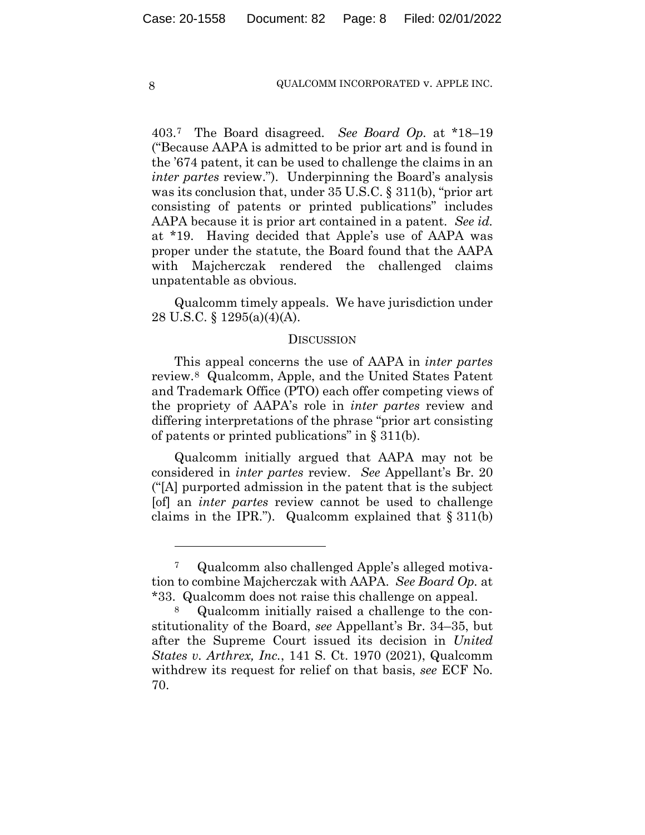403.7 The Board disagreed. *See Board Op.* at \*18–19 ("Because AAPA is admitted to be prior art and is found in the '674 patent, it can be used to challenge the claims in an *inter partes* review."). Underpinning the Board's analysis was its conclusion that, under 35 U.S.C. § 311(b), "prior art consisting of patents or printed publications" includes AAPA because it is prior art contained in a patent. *See id.*  at \*19. Having decided that Apple's use of AAPA was proper under the statute, the Board found that the AAPA with Majcherczak rendered the challenged claims unpatentable as obvious.

Qualcomm timely appeals. We have jurisdiction under 28 U.S.C. § 1295(a)(4)(A).

#### DISCUSSION

This appeal concerns the use of AAPA in *inter partes*  review.8 Qualcomm, Apple, and the United States Patent and Trademark Office (PTO) each offer competing views of the propriety of AAPA's role in *inter partes* review and differing interpretations of the phrase "prior art consisting of patents or printed publications" in § 311(b).

Qualcomm initially argued that AAPA may not be considered in *inter partes* review. *See* Appellant's Br. 20 ("[A] purported admission in the patent that is the subject [of] an *inter partes* review cannot be used to challenge claims in the IPR."). Qualcomm explained that  $\S 311(b)$ 

<sup>7</sup> Qualcomm also challenged Apple's alleged motivation to combine Majcherczak with AAPA. *See Board Op.* at \*33. Qualcomm does not raise this challenge on appeal.

<sup>8</sup> Qualcomm initially raised a challenge to the constitutionality of the Board, *see* Appellant's Br. 34–35, but after the Supreme Court issued its decision in *United States v. Arthrex, Inc.*, 141 S. Ct. 1970 (2021), Qualcomm withdrew its request for relief on that basis, *see* ECF No. 70.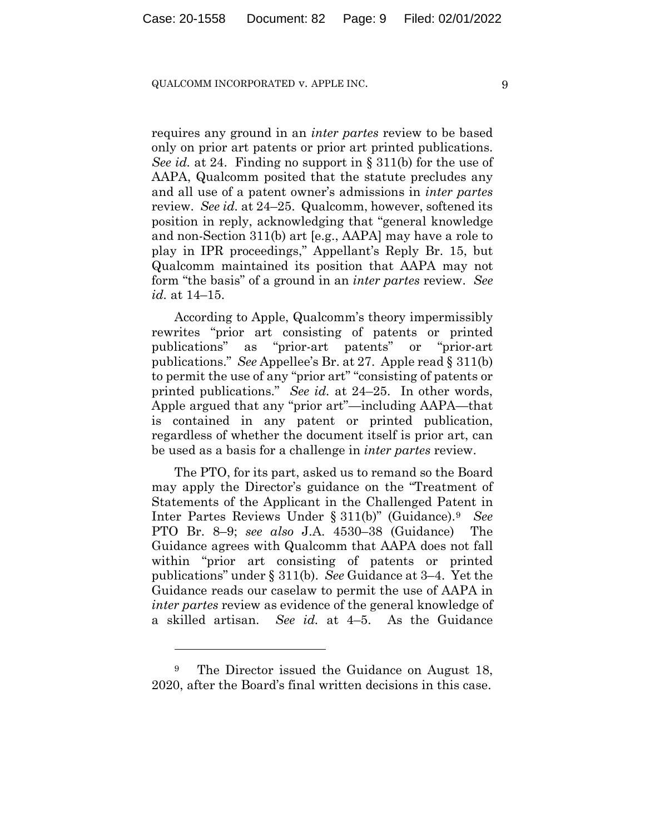requires any ground in an *inter partes* review to be based only on prior art patents or prior art printed publications. *See id.* at 24. Finding no support in § 311(b) for the use of AAPA, Qualcomm posited that the statute precludes any and all use of a patent owner's admissions in *inter partes*  review. *See id.* at 24–25. Qualcomm, however, softened its position in reply, acknowledging that "general knowledge and non-Section 311(b) art [e.g., AAPA] may have a role to play in IPR proceedings," Appellant's Reply Br. 15, but Qualcomm maintained its position that AAPA may not form "the basis" of a ground in an *inter partes* review. *See id.* at 14–15.

According to Apple, Qualcomm's theory impermissibly rewrites "prior art consisting of patents or printed publications" as "prior-art patents" or "prior-art publications." *See* Appellee's Br. at 27. Apple read § 311(b) to permit the use of any "prior art" "consisting of patents or printed publications." *See id.* at 24–25. In other words, Apple argued that any "prior art"—including AAPA—that is contained in any patent or printed publication, regardless of whether the document itself is prior art, can be used as a basis for a challenge in *inter partes* review.

The PTO, for its part, asked us to remand so the Board may apply the Director's guidance on the "Treatment of Statements of the Applicant in the Challenged Patent in Inter Partes Reviews Under § 311(b)" (Guidance).9 *See*  PTO Br. 8–9; *see also* J.A. 4530–38 (Guidance) The Guidance agrees with Qualcomm that AAPA does not fall within "prior art consisting of patents or printed publications" under § 311(b). *See* Guidance at 3–4. Yet the Guidance reads our caselaw to permit the use of AAPA in *inter partes* review as evidence of the general knowledge of a skilled artisan. *See id.* at 4–5. As the Guidance

<sup>&</sup>lt;sup>9</sup> The Director issued the Guidance on August 18, 2020, after the Board's final written decisions in this case.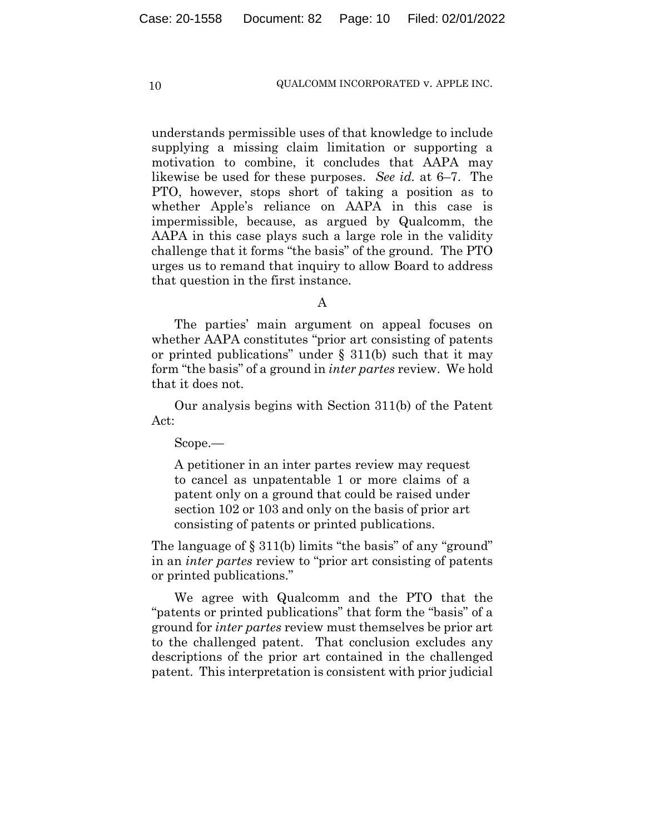understands permissible uses of that knowledge to include supplying a missing claim limitation or supporting a motivation to combine, it concludes that AAPA may likewise be used for these purposes. *See id.* at 6–7. The PTO, however, stops short of taking a position as to whether Apple's reliance on AAPA in this case is impermissible, because, as argued by Qualcomm, the AAPA in this case plays such a large role in the validity challenge that it forms "the basis" of the ground. The PTO urges us to remand that inquiry to allow Board to address that question in the first instance.

# A

The parties' main argument on appeal focuses on whether AAPA constitutes "prior art consisting of patents or printed publications" under  $\S$  311(b) such that it may form "the basis" of a ground in *inter partes* review. We hold that it does not.

Our analysis begins with Section 311(b) of the Patent Act:

Scope.—

A petitioner in an inter partes review may request to cancel as unpatentable 1 or more claims of a patent only on a ground that could be raised under section 102 or 103 and only on the basis of prior art consisting of patents or printed publications.

The language of § 311(b) limits "the basis" of any "ground" in an *inter partes* review to "prior art consisting of patents or printed publications."

We agree with Qualcomm and the PTO that the "patents or printed publications" that form the "basis" of a ground for *inter partes* review must themselves be prior art to the challenged patent. That conclusion excludes any descriptions of the prior art contained in the challenged patent. This interpretation is consistent with prior judicial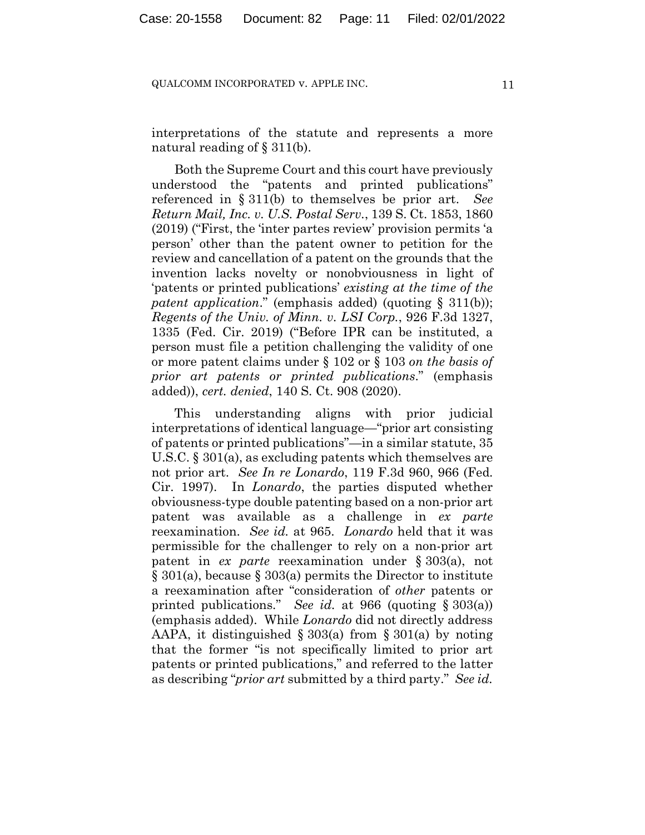interpretations of the statute and represents a more natural reading of § 311(b).

Both the Supreme Court and this court have previously understood the "patents and printed publications" referenced in § 311(b) to themselves be prior art. *See Return Mail, Inc. v. U.S. Postal Serv.*, 139 S. Ct. 1853, 1860 (2019) ("First, the 'inter partes review' provision permits 'a person' other than the patent owner to petition for the review and cancellation of a patent on the grounds that the invention lacks novelty or nonobviousness in light of 'patents or printed publications' *existing at the time of the patent application.*" (emphasis added) (quoting § 311(b)); *Regents of the Univ. of Minn. v. LSI Corp.*, 926 F.3d 1327, 1335 (Fed. Cir. 2019) ("Before IPR can be instituted, a person must file a petition challenging the validity of one or more patent claims under § 102 or § 103 *on the basis of prior art patents or printed publications*." (emphasis added)), *cert. denied*, 140 S. Ct. 908 (2020).

This understanding aligns with prior judicial interpretations of identical language—"prior art consisting of patents or printed publications"—in a similar statute, 35 U.S.C. § 301(a), as excluding patents which themselves are not prior art. *See In re Lonardo*, 119 F.3d 960, 966 (Fed. Cir. 1997). In *Lonardo*, the parties disputed whether obviousness-type double patenting based on a non-prior art patent was available as a challenge in *ex parte*  reexamination. *See id.* at 965. *Lonardo* held that it was permissible for the challenger to rely on a non-prior art patent in *ex parte* reexamination under § 303(a), not § 301(a), because § 303(a) permits the Director to institute a reexamination after "consideration of *other* patents or printed publications." *See id.* at 966 (quoting § 303(a)) (emphasis added). While *Lonardo* did not directly address AAPA, it distinguished § 303(a) from § 301(a) by noting that the former "is not specifically limited to prior art patents or printed publications," and referred to the latter as describing "*prior art* submitted by a third party." *See id.*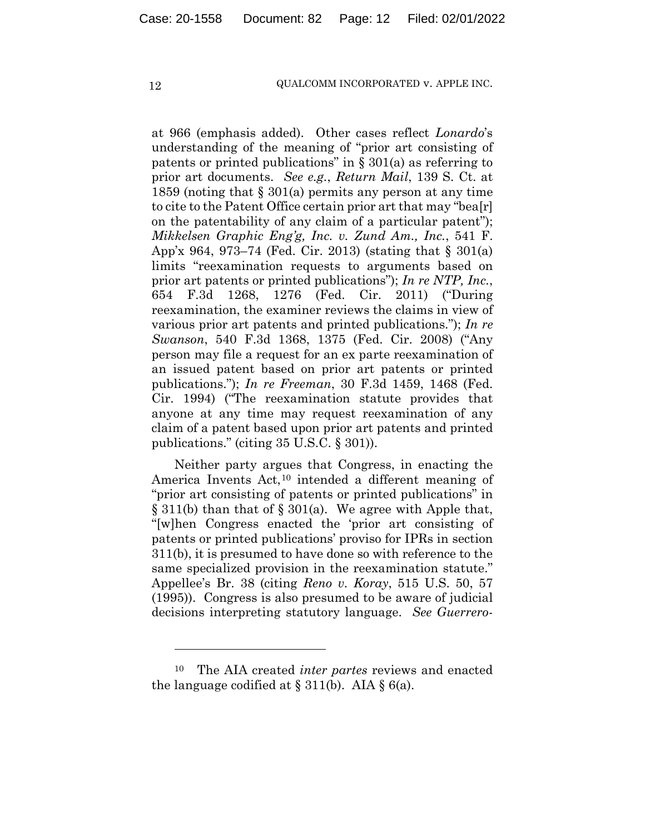at 966 (emphasis added). Other cases reflect *Lonardo*'s understanding of the meaning of "prior art consisting of patents or printed publications" in  $\S 301(a)$  as referring to prior art documents. *See e.g.*, *Return Mail*, 139 S. Ct. at 1859 (noting that § 301(a) permits any person at any time to cite to the Patent Office certain prior art that may "bea[r] on the patentability of any claim of a particular patent"); *Mikkelsen Graphic Eng'g, Inc. v. Zund Am., Inc.*, 541 F. App'x 964, 973–74 (Fed. Cir. 2013) (stating that § 301(a) limits "reexamination requests to arguments based on prior art patents or printed publications"); *In re NTP, Inc.*, 654 F.3d 1268, 1276 (Fed. Cir. 2011) ("During reexamination, the examiner reviews the claims in view of various prior art patents and printed publications."); *In re Swanson*, 540 F.3d 1368, 1375 (Fed. Cir. 2008) ("Any person may file a request for an ex parte reexamination of an issued patent based on prior art patents or printed publications."); *In re Freeman*, 30 F.3d 1459, 1468 (Fed. Cir. 1994) ("The reexamination statute provides that anyone at any time may request reexamination of any claim of a patent based upon prior art patents and printed publications." (citing 35 U.S.C. § 301)).

Neither party argues that Congress, in enacting the America Invents Act,<sup>10</sup> intended a different meaning of "prior art consisting of patents or printed publications" in  $\S 311(b)$  than that of  $\S 301(a)$ . We agree with Apple that, "[w]hen Congress enacted the 'prior art consisting of patents or printed publications' proviso for IPRs in section 311(b), it is presumed to have done so with reference to the same specialized provision in the reexamination statute." Appellee's Br. 38 (citing *Reno v. Koray*, 515 U.S. 50, 57 (1995)). Congress is also presumed to be aware of judicial decisions interpreting statutory language. *See Guerrero-*

<sup>10</sup> The AIA created *inter partes* reviews and enacted the language codified at  $\S 311(b)$ . AIA  $\S 6(a)$ .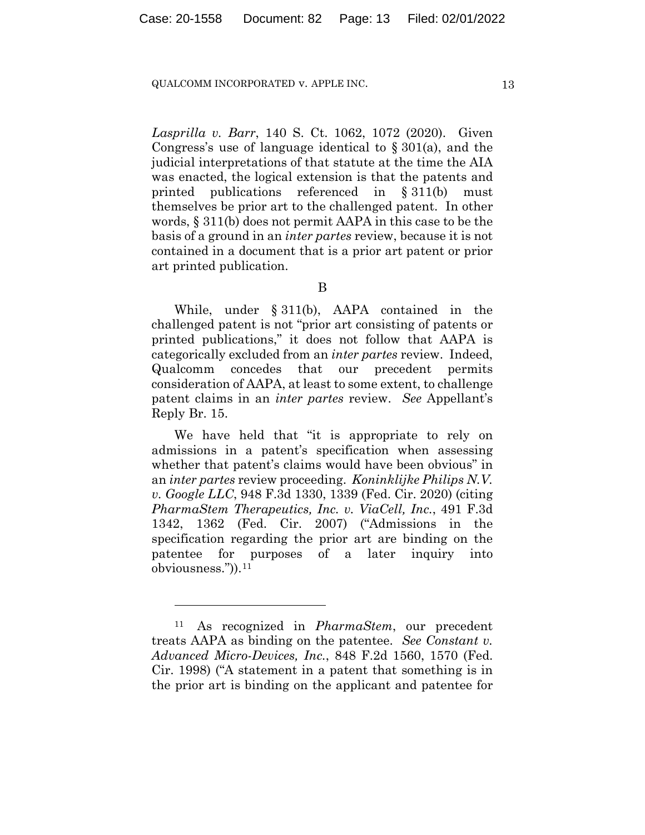*Lasprilla v. Barr*, 140 S. Ct. 1062, 1072 (2020). Given Congress's use of language identical to § 301(a), and the judicial interpretations of that statute at the time the AIA was enacted, the logical extension is that the patents and printed publications referenced in § 311(b) must themselves be prior art to the challenged patent. In other words, § 311(b) does not permit AAPA in this case to be the basis of a ground in an *inter partes* review, because it is not contained in a document that is a prior art patent or prior art printed publication.

## B

While, under § 311(b), AAPA contained in the challenged patent is not "prior art consisting of patents or printed publications," it does not follow that AAPA is categorically excluded from an *inter partes* review. Indeed, Qualcomm concedes that our precedent permits consideration of AAPA, at least to some extent, to challenge patent claims in an *inter partes* review. *See* Appellant's Reply Br. 15.

 We have held that "it is appropriate to rely on admissions in a patent's specification when assessing whether that patent's claims would have been obvious" in an *inter partes* review proceeding. *Koninklijke Philips N.V. v. Google LLC*, 948 F.3d 1330, 1339 (Fed. Cir. 2020) (citing *PharmaStem Therapeutics, Inc. v. ViaCell, Inc.*, 491 F.3d 1342, 1362 (Fed. Cir. 2007) ("Admissions in the specification regarding the prior art are binding on the patentee for purposes of a later inquiry into obviousness.")).11

<sup>11</sup> As recognized in *PharmaStem*, our precedent treats AAPA as binding on the patentee. *See Constant v. Advanced Micro-Devices, Inc.*, 848 F.2d 1560, 1570 (Fed. Cir. 1998) ("A statement in a patent that something is in the prior art is binding on the applicant and patentee for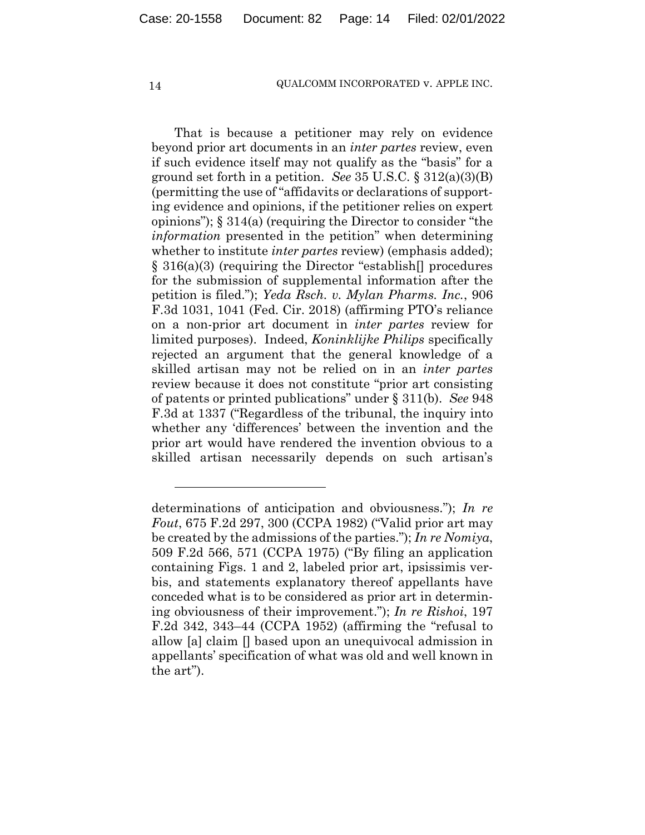That is because a petitioner may rely on evidence beyond prior art documents in an *inter partes* review, even if such evidence itself may not qualify as the "basis" for a ground set forth in a petition. *See* 35 U.S.C. § 312(a)(3)(B) (permitting the use of "affidavits or declarations of supporting evidence and opinions, if the petitioner relies on expert opinions");  $\S 314(a)$  (requiring the Director to consider "the *information* presented in the petition" when determining whether to institute *inter partes* review) (emphasis added); § 316(a)(3) (requiring the Director "establish∏ procedures for the submission of supplemental information after the petition is filed."); *Yeda Rsch. v. Mylan Pharms. Inc.*, 906 F.3d 1031, 1041 (Fed. Cir. 2018) (affirming PTO's reliance on a non-prior art document in *inter partes* review for limited purposes). Indeed, *Koninklijke Philips* specifically rejected an argument that the general knowledge of a skilled artisan may not be relied on in an *inter partes*  review because it does not constitute "prior art consisting of patents or printed publications" under § 311(b). *See* 948 F.3d at 1337 ("Regardless of the tribunal, the inquiry into whether any 'differences' between the invention and the prior art would have rendered the invention obvious to a skilled artisan necessarily depends on such artisan's

determinations of anticipation and obviousness."); *In re Fout*, 675 F.2d 297, 300 (CCPA 1982) ("Valid prior art may be created by the admissions of the parties."); *In re Nomiya*, 509 F.2d 566, 571 (CCPA 1975) ("By filing an application containing Figs. 1 and 2, labeled prior art, ipsissimis verbis, and statements explanatory thereof appellants have conceded what is to be considered as prior art in determining obviousness of their improvement."); *In re Rishoi*, 197 F.2d 342, 343–44 (CCPA 1952) (affirming the "refusal to allow [a] claim [] based upon an unequivocal admission in appellants' specification of what was old and well known in the art").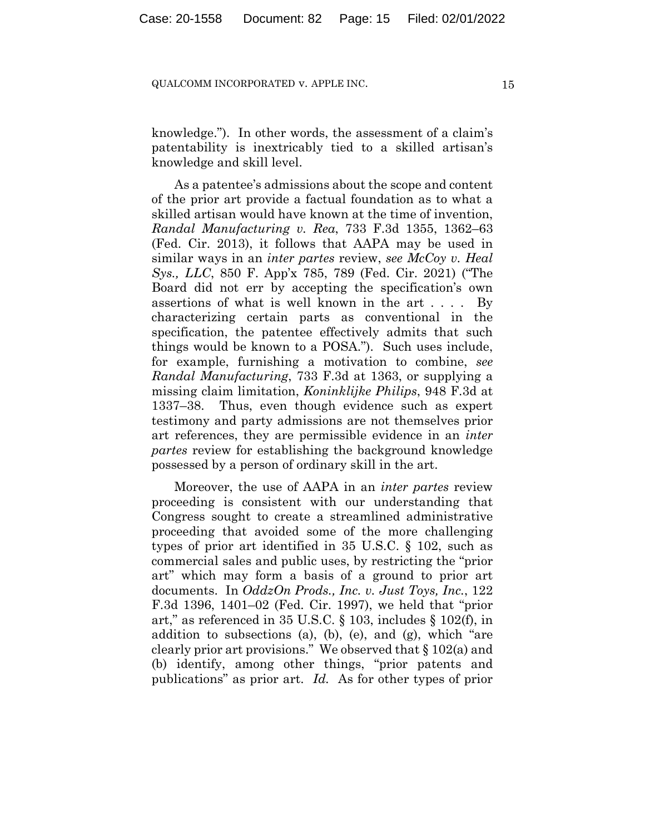knowledge."). In other words, the assessment of a claim's patentability is inextricably tied to a skilled artisan's knowledge and skill level.

As a patentee's admissions about the scope and content of the prior art provide a factual foundation as to what a skilled artisan would have known at the time of invention, *Randal Manufacturing v. Rea*, 733 F.3d 1355, 1362–63 (Fed. Cir. 2013), it follows that AAPA may be used in similar ways in an *inter partes* review, *see McCoy v. Heal Sys., LLC*, 850 F. App'x 785, 789 (Fed. Cir. 2021) ("The Board did not err by accepting the specification's own assertions of what is well known in the art . . . . By characterizing certain parts as conventional in the specification, the patentee effectively admits that such things would be known to a POSA."). Such uses include, for example, furnishing a motivation to combine, *see Randal Manufacturing*, 733 F.3d at 1363, or supplying a missing claim limitation, *Koninklijke Philips*, 948 F.3d at 1337–38. Thus, even though evidence such as expert testimony and party admissions are not themselves prior art references, they are permissible evidence in an *inter partes* review for establishing the background knowledge possessed by a person of ordinary skill in the art.

Moreover, the use of AAPA in an *inter partes* review proceeding is consistent with our understanding that Congress sought to create a streamlined administrative proceeding that avoided some of the more challenging types of prior art identified in 35 U.S.C. § 102, such as commercial sales and public uses, by restricting the "prior art" which may form a basis of a ground to prior art documents. In *OddzOn Prods., Inc. v. Just Toys, Inc.*, 122 F.3d 1396, 1401–02 (Fed. Cir. 1997), we held that "prior art," as referenced in 35 U.S.C.  $\S$  103, includes  $\S$  102(f), in addition to subsections (a), (b), (e), and (g), which "are clearly prior art provisions." We observed that § 102(a) and (b) identify, among other things, "prior patents and publications" as prior art. *Id.* As for other types of prior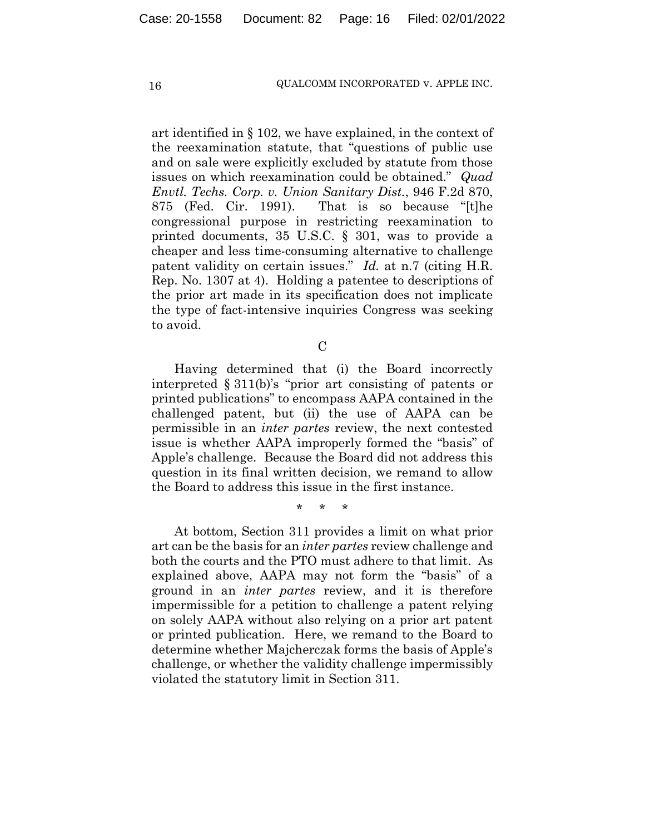art identified in § 102, we have explained, in the context of the reexamination statute, that "questions of public use and on sale were explicitly excluded by statute from those issues on which reexamination could be obtained." *Quad Envtl. Techs. Corp. v. Union Sanitary Dist.*, 946 F.2d 870, 875 (Fed. Cir. 1991). That is so because "[t]he congressional purpose in restricting reexamination to printed documents, 35 U.S.C. § 301, was to provide a cheaper and less time-consuming alternative to challenge patent validity on certain issues." *Id.* at n.7 (citing H.R. Rep. No. 1307 at 4). Holding a patentee to descriptions of the prior art made in its specification does not implicate the type of fact-intensive inquiries Congress was seeking to avoid.

 $\overline{C}$ 

Having determined that (i) the Board incorrectly interpreted § 311(b)'s "prior art consisting of patents or printed publications" to encompass AAPA contained in the challenged patent, but (ii) the use of AAPA can be permissible in an *inter partes* review, the next contested issue is whether AAPA improperly formed the "basis" of Apple's challenge. Because the Board did not address this question in its final written decision, we remand to allow the Board to address this issue in the first instance.

\* \* \*

 At bottom, Section 311 provides a limit on what prior art can be the basis for an *inter partes* review challenge and both the courts and the PTO must adhere to that limit. As explained above, AAPA may not form the "basis" of a ground in an *inter partes* review, and it is therefore impermissible for a petition to challenge a patent relying on solely AAPA without also relying on a prior art patent or printed publication. Here, we remand to the Board to determine whether Majcherczak forms the basis of Apple's challenge, or whether the validity challenge impermissibly violated the statutory limit in Section 311.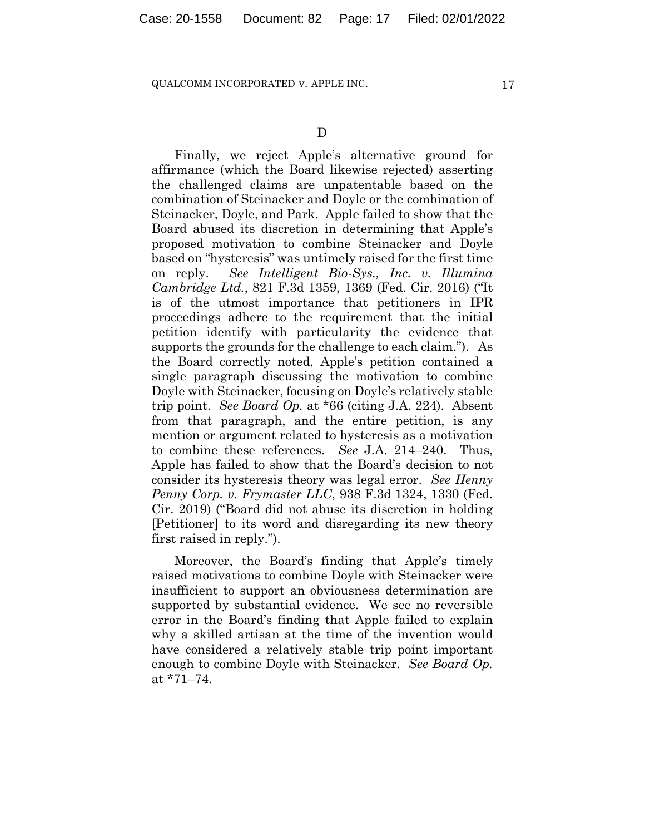Finally, we reject Apple's alternative ground for affirmance (which the Board likewise rejected) asserting the challenged claims are unpatentable based on the combination of Steinacker and Doyle or the combination of Steinacker, Doyle, and Park. Apple failed to show that the Board abused its discretion in determining that Apple's proposed motivation to combine Steinacker and Doyle based on "hysteresis" was untimely raised for the first time on reply. *See Intelligent Bio-Sys., Inc. v. Illumina Cambridge Ltd.*, 821 F.3d 1359, 1369 (Fed. Cir. 2016) ("It is of the utmost importance that petitioners in IPR proceedings adhere to the requirement that the initial petition identify with particularity the evidence that supports the grounds for the challenge to each claim."). As the Board correctly noted, Apple's petition contained a single paragraph discussing the motivation to combine Doyle with Steinacker, focusing on Doyle's relatively stable trip point. *See Board Op.* at \*66 (citing J.A. 224). Absent from that paragraph, and the entire petition, is any mention or argument related to hysteresis as a motivation to combine these references. *See* J.A. 214–240. Thus, Apple has failed to show that the Board's decision to not consider its hysteresis theory was legal error. *See Henny Penny Corp. v. Frymaster LLC*, 938 F.3d 1324, 1330 (Fed. Cir. 2019) ("Board did not abuse its discretion in holding [Petitioner] to its word and disregarding its new theory first raised in reply.").

 Moreover, the Board's finding that Apple's timely raised motivations to combine Doyle with Steinacker were insufficient to support an obviousness determination are supported by substantial evidence. We see no reversible error in the Board's finding that Apple failed to explain why a skilled artisan at the time of the invention would have considered a relatively stable trip point important enough to combine Doyle with Steinacker. *See Board Op.*  at \*71–74.